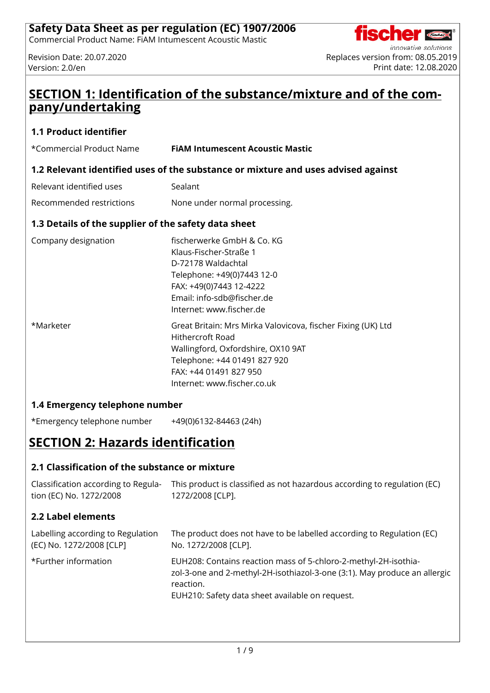Commercial Product Name: FiAM Intumescent Acoustic Mastic



Code

# **SECTION 1: Identification of the substance/mixture and of the company/undertaking**

## **1.1 Product identifier**

| *Commercial Product Name                             | <b>FIAM Intumescent Acoustic Mastic</b>                                                                                                                                                                         |  |  |
|------------------------------------------------------|-----------------------------------------------------------------------------------------------------------------------------------------------------------------------------------------------------------------|--|--|
|                                                      | 1.2 Relevant identified uses of the substance or mixture and uses advised against                                                                                                                               |  |  |
| Relevant identified uses                             | Sealant                                                                                                                                                                                                         |  |  |
| Recommended restrictions                             | None under normal processing.                                                                                                                                                                                   |  |  |
| 1.3 Details of the supplier of the safety data sheet |                                                                                                                                                                                                                 |  |  |
| Company designation                                  | fischerwerke GmbH & Co. KG<br>Klaus-Fischer-Straße 1<br>D-72178 Waldachtal<br>Telephone: +49(0)7443 12-0<br>FAX: +49(0)7443 12-4222<br>Email: info-sdb@fischer.de<br>Internet: www.fischer.de                   |  |  |
| *Marketer                                            | Great Britain: Mrs Mirka Valovicova, fischer Fixing (UK) Ltd<br>Hithercroft Road<br>Wallingford, Oxfordshire, OX10 9AT<br>Telephone: +44 01491 827 920<br>FAX: +44 01491 827 950<br>Internet: www.fischer.co.uk |  |  |

## **1.4 Emergency telephone number**

\*Emergency telephone number +49(0)6132-84463 (24h)

# **SECTION 2: Hazards identification**

## **2.1 Classification of the substance or mixture**

Classification according to Regula-This product is classified as not hazardous according to regulation (EC) tion (EC) No. 1272/2008 1272/2008 [CLP].

## **2.2 Label elements**

| Labelling according to Regulation | The product does not have to be labelled according to Regulation (EC)                                                                                                                                        |
|-----------------------------------|--------------------------------------------------------------------------------------------------------------------------------------------------------------------------------------------------------------|
| (EC) No. 1272/2008 [CLP]          | No. 1272/2008 [CLP].                                                                                                                                                                                         |
| *Further information              | EUH208: Contains reaction mass of 5-chloro-2-methyl-2H-isothia-<br>zol-3-one and 2-methyl-2H-isothiazol-3-one (3:1). May produce an allergic<br>reaction.<br>EUH210: Safety data sheet available on request. |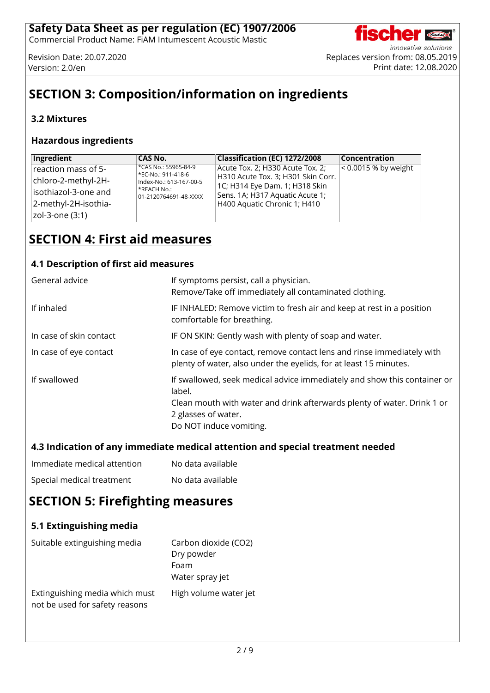Commercial Product Name: FiAM Intumescent Acoustic Mastic

Code

# **SECTION 3: Composition/information on ingredients**

## **3.2 Mixtures**

#### **Hazardous ingredients**

| Ingredient           | CAS No.                                       | Classification (EC) 1272/2008                                        | <b>Concentration</b> |
|----------------------|-----------------------------------------------|----------------------------------------------------------------------|----------------------|
| reaction mass of 5-  | *CAS No.: 55965-84-9                          | Acute Tox. 2; H330 Acute Tox. 2;                                     | < 0.0015 % by weight |
| chloro-2-methyl-2H-  | *EC-No.: 911-418-6<br>Index-No.: 613-167-00-5 | H310 Acute Tox. 3; H301 Skin Corr.<br>1C; H314 Eye Dam. 1; H318 Skin |                      |
| isothiazol-3-one and | *REACH No.:<br>01-2120764691-48-XXXX          | Sens. 1A; H317 Aquatic Acute 1;                                      |                      |
| 2-methyl-2H-isothia- |                                               | H400 Aquatic Chronic 1; H410                                         |                      |
| zol-3-one (3:1)      |                                               |                                                                      |                      |

# **SECTION 4: First aid measures**

## **4.1 Description of first aid measures**

| General advice          | If symptoms persist, call a physician.<br>Remove/Take off immediately all contaminated clothing.                                                                                                                |
|-------------------------|-----------------------------------------------------------------------------------------------------------------------------------------------------------------------------------------------------------------|
| If inhaled              | IF INHALED: Remove victim to fresh air and keep at rest in a position<br>comfortable for breathing.                                                                                                             |
| In case of skin contact | IF ON SKIN: Gently wash with plenty of soap and water.                                                                                                                                                          |
| In case of eye contact  | In case of eye contact, remove contact lens and rinse immediately with<br>plenty of water, also under the eyelids, for at least 15 minutes.                                                                     |
| If swallowed            | If swallowed, seek medical advice immediately and show this container or<br>label.<br>Clean mouth with water and drink afterwards plenty of water. Drink 1 or<br>2 glasses of water.<br>Do NOT induce vomiting. |

## **4.3 Indication of any immediate medical attention and special treatment needed**

| Immediate medical attention | No data available |
|-----------------------------|-------------------|
| Special medical treatment   | No data available |

# **SECTION 5: Firefighting measures**

| 5.1 Extinguishing media                                          |                                                               |
|------------------------------------------------------------------|---------------------------------------------------------------|
| Suitable extinguishing media                                     | Carbon dioxide (CO2)<br>Dry powder<br>Foam<br>Water spray jet |
| Extinguishing media which must<br>not be used for safety reasons | High volume water jet                                         |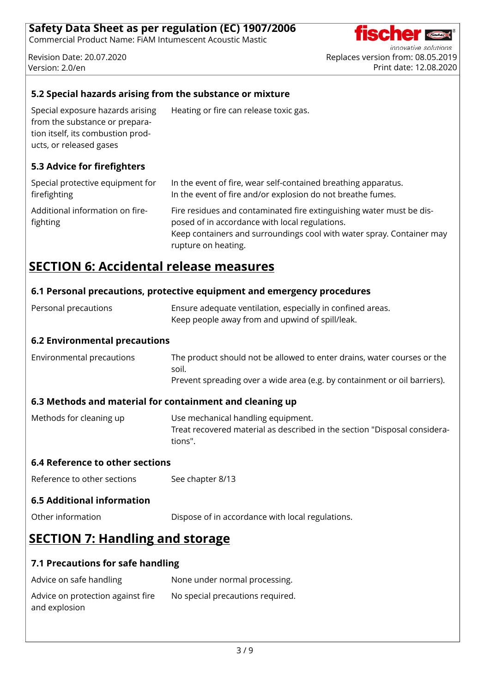Commercial Product Name: FiAM Intumescent Acoustic Mastic



innovative solutions Revision Date: 20.07.2020 Replaces version from: 08.05.2019 Version: 2.0/en Print date: 12.08.2020

## **5.2 Special hazards arising from the substance or mixture**

Special exposure hazards arising from the substance or preparation itself, its combustion products, or released gases

## **5.3 Advice for firefighters**

| Special protective equipment for            | In the event of fire, wear self-contained breathing apparatus.                                                                                                                                                         |
|---------------------------------------------|------------------------------------------------------------------------------------------------------------------------------------------------------------------------------------------------------------------------|
| firefighting                                | In the event of fire and/or explosion do not breathe fumes.                                                                                                                                                            |
| Additional information on fire-<br>fighting | Fire residues and contaminated fire extinguishing water must be dis-<br>posed of in accordance with local regulations.<br>Keep containers and surroundings cool with water spray. Container may<br>rupture on heating. |

Heating or fire can release toxic gas.

## **SECTION 6: Accidental release measures**

## **6.1 Personal precautions, protective equipment and emergency procedures**

| Personal precautions | Ensure adequate ventilation, especially in confined areas. |
|----------------------|------------------------------------------------------------|
|                      | Keep people away from and upwind of spill/leak.            |

#### **6.2 Environmental precautions**

| Environmental precautions | The product should not be allowed to enter drains, water courses or the   |
|---------------------------|---------------------------------------------------------------------------|
|                           | soil.                                                                     |
|                           | Prevent spreading over a wide area (e.g. by containment or oil barriers). |

## **6.3 Methods and material for containment and cleaning up**

Methods for cleaning up Use mechanical handling equipment. Treat recovered material as described in the section "Disposal considerations".

#### **6.4 Reference to other sections**

Reference to other sections See chapter 8/13

#### **6.5 Additional information**

Other information Dispose of in accordance with local regulations.

# **SECTION 7: Handling and storage**

#### **7.1 Precautions for safe handling**

| Advice on safe handling           | None under normal processing.    |
|-----------------------------------|----------------------------------|
| Advice on protection against fire | No special precautions required. |
| and explosion                     |                                  |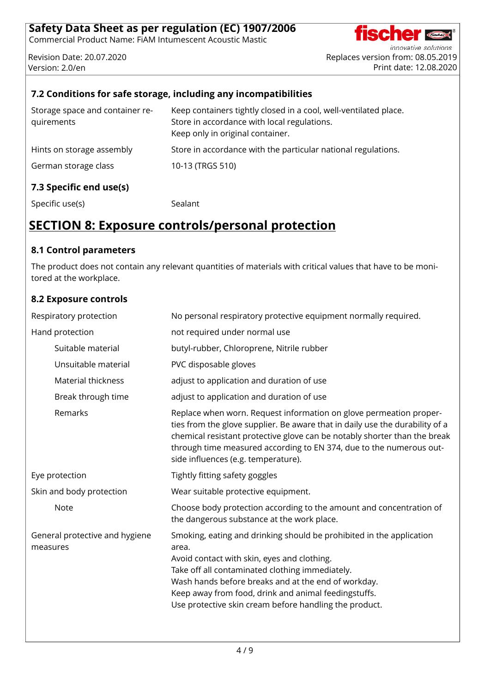Commercial Product Name: FiAM Intumescent Acoustic Mastic

innovative solutions Revision Date: 20.07.2020 Replaces version from: 08.05.2019 version: 2.0/en Print date: 12.08.2020

**Code** 

## **7.2 Conditions for safe storage, including any incompatibilities**

| Storage space and container re-<br>quirements | Keep containers tightly closed in a cool, well-ventilated place.<br>Store in accordance with local regulations.<br>Keep only in original container. |
|-----------------------------------------------|-----------------------------------------------------------------------------------------------------------------------------------------------------|
| Hints on storage assembly                     | Store in accordance with the particular national regulations.                                                                                       |
| German storage class                          | 10-13 (TRGS 510)                                                                                                                                    |
| 7.3 Specific end use(s)                       |                                                                                                                                                     |

Specific use(s) Specific use(s) Sealant

# **SECTION 8: Exposure controls/personal protection**

#### **8.1 Control parameters**

The product does not contain any relevant quantities of materials with critical values that have to be monitored at the workplace.

## **8.2 Exposure controls**

| Respiratory protection                     | No personal respiratory protective equipment normally required.                                                                                                                                                                                                                                                                                          |
|--------------------------------------------|----------------------------------------------------------------------------------------------------------------------------------------------------------------------------------------------------------------------------------------------------------------------------------------------------------------------------------------------------------|
| Hand protection                            | not required under normal use                                                                                                                                                                                                                                                                                                                            |
| Suitable material                          | butyl-rubber, Chloroprene, Nitrile rubber                                                                                                                                                                                                                                                                                                                |
| Unsuitable material                        | PVC disposable gloves                                                                                                                                                                                                                                                                                                                                    |
| <b>Material thickness</b>                  | adjust to application and duration of use                                                                                                                                                                                                                                                                                                                |
| Break through time                         | adjust to application and duration of use                                                                                                                                                                                                                                                                                                                |
| Remarks                                    | Replace when worn. Request information on glove permeation proper-<br>ties from the glove supplier. Be aware that in daily use the durability of a<br>chemical resistant protective glove can be notably shorter than the break<br>through time measured according to EN 374, due to the numerous out-<br>side influences (e.g. temperature).            |
| Eye protection                             | Tightly fitting safety goggles                                                                                                                                                                                                                                                                                                                           |
| Skin and body protection                   | Wear suitable protective equipment.                                                                                                                                                                                                                                                                                                                      |
| <b>Note</b>                                | Choose body protection according to the amount and concentration of<br>the dangerous substance at the work place.                                                                                                                                                                                                                                        |
| General protective and hygiene<br>measures | Smoking, eating and drinking should be prohibited in the application<br>area.<br>Avoid contact with skin, eyes and clothing.<br>Take off all contaminated clothing immediately.<br>Wash hands before breaks and at the end of workday.<br>Keep away from food, drink and animal feedingstuffs.<br>Use protective skin cream before handling the product. |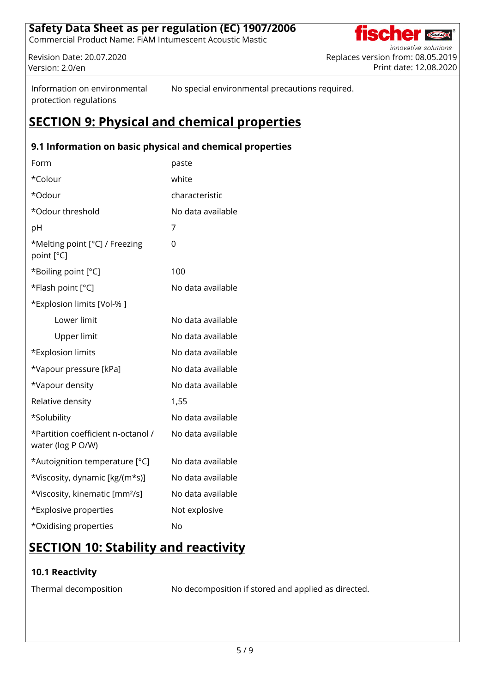Commercial Product Name: FiAM Intumescent Acoustic Mastic

innovative solutions Revision Date: 20.07.2020 Replaces version from: 08.05.2019 version: 2.0/en Print date: 12.08.2020

Code

Information on environmental protection regulations

No special environmental precautions required.

# **SECTION 9: Physical and chemical properties**

## **9.1 Information on basic physical and chemical properties**

| Form                                                    | paste             |
|---------------------------------------------------------|-------------------|
| *Colour                                                 | white             |
| *Odour                                                  | characteristic    |
| *Odour threshold                                        | No data available |
| рH                                                      | 7                 |
| *Melting point [°C] / Freezing<br>point [°C]            | 0                 |
| *Boiling point [°C]                                     | 100               |
| *Flash point [°C]                                       | No data available |
| *Explosion limits [Vol-% ]                              |                   |
| Lower limit                                             | No data available |
| Upper limit                                             | No data available |
| *Explosion limits                                       | No data available |
| *Vapour pressure [kPa]                                  | No data available |
| *Vapour density                                         | No data available |
| Relative density                                        | 1,55              |
| *Solubility                                             | No data available |
| *Partition coefficient n-octanol /<br>water (log P O/W) | No data available |
| *Autoignition temperature [°C]                          | No data available |
| *Viscosity, dynamic [kg/(m*s)]                          | No data available |
| *Viscosity, kinematic [mm <sup>2</sup> /s]              | No data available |
| *Explosive properties                                   | Not explosive     |
| *Oxidising properties                                   | <b>No</b>         |

# **SECTION 10: Stability and reactivity**

## **10.1 Reactivity**

Thermal decomposition No decomposition if stored and applied as directed.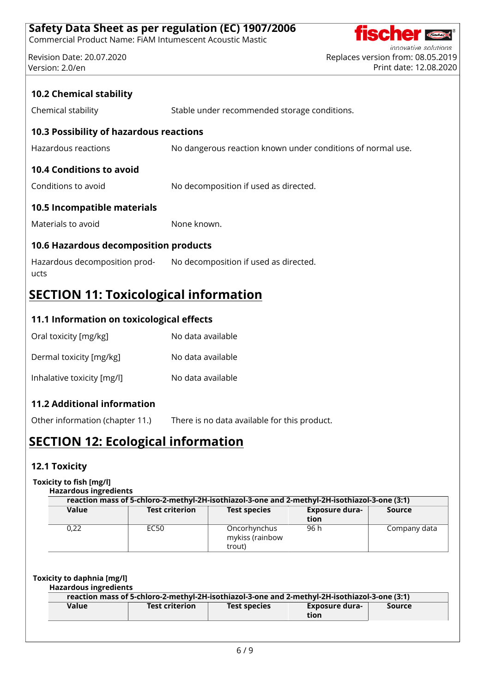Commercial Product Name: FiAM Intumescent Acoustic Mastic

innovative solutions Revision Date: 20.07.2020 Replaces version from: 08.05.2019 version: 2.0/en Print date: 12.08.2020

**Course** 

| <b>10.2 Chemical stability</b>               |                                                             |  |  |  |  |
|----------------------------------------------|-------------------------------------------------------------|--|--|--|--|
| Chemical stability                           | Stable under recommended storage conditions.                |  |  |  |  |
| 10.3 Possibility of hazardous reactions      |                                                             |  |  |  |  |
| Hazardous reactions                          | No dangerous reaction known under conditions of normal use. |  |  |  |  |
| <b>10.4 Conditions to avoid</b>              |                                                             |  |  |  |  |
| Conditions to avoid                          | No decomposition if used as directed.                       |  |  |  |  |
| 10.5 Incompatible materials                  |                                                             |  |  |  |  |
| Materials to avoid                           | None known.                                                 |  |  |  |  |
| <b>10.6 Hazardous decomposition products</b> |                                                             |  |  |  |  |
| Hazardous decomposition prod-<br>ucts        | No decomposition if used as directed.                       |  |  |  |  |

# **SECTION 11: Toxicological information**

## **11.1 Information on toxicological effects**

| Oral toxicity [mg/kg]      | No data available |
|----------------------------|-------------------|
| Dermal toxicity [mg/kg]    | No data available |
| Inhalative toxicity [mg/l] | No data available |

## **11.2 Additional information**

Other information (chapter 11.) There is no data available for this product.

# **SECTION 12: Ecological information**

## **12.1 Toxicity**

#### **Toxicity to fish [mg/l]**

|  |  |  | <b>Hazardous ingredients</b> |
|--|--|--|------------------------------|

|       | reaction mass of 5-chloro-2-methyl-2H-isothiazol-3-one and 2-methyl-2H-isothiazol-3-one (3:1) |                                           |                               |              |
|-------|-----------------------------------------------------------------------------------------------|-------------------------------------------|-------------------------------|--------------|
| Value | <b>Test criterion</b>                                                                         | <b>Test species</b>                       | <b>Exposure dura-</b><br>tion | Source       |
| 0,22  | EC50                                                                                          | Oncorhynchus<br>mykiss (rainbow<br>trout) | 96 h                          | Company data |

#### **Toxicity to daphnia [mg/l]**

#### **Hazardous ingredients**

|       |                       |                     | reaction mass of 5-chloro-2-methyl-2H-isothiazol-3-one and 2-methyl-2H-isothiazol-3-one (3:1) |        |
|-------|-----------------------|---------------------|-----------------------------------------------------------------------------------------------|--------|
| Value | <b>Test criterion</b> | <b>Test species</b> | Exposure dura-<br>tion                                                                        | Source |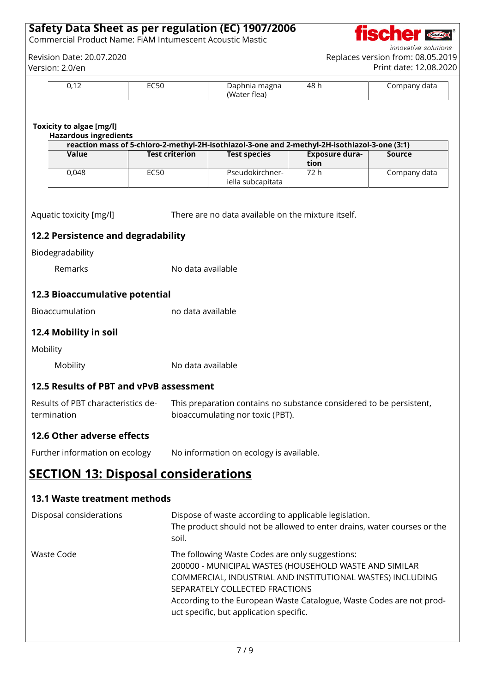Commercial Product Name: FiAM Intumescent Acoustic Mastic

innovative solutions Revision Date: 20.07.2020 Replaces version from: 08.05.2019

**CENTERNAL CONDUCTS** 

**fisc** 

|          | Version: 2.0/en                                                 |                       |                                                                                                                                                                                                                                                                                                                              |                       | Print date: 12.08.2020 |
|----------|-----------------------------------------------------------------|-----------------------|------------------------------------------------------------------------------------------------------------------------------------------------------------------------------------------------------------------------------------------------------------------------------------------------------------------------------|-----------------------|------------------------|
|          | 0,12                                                            | EC50                  | Daphnia magna<br>(Water flea)                                                                                                                                                                                                                                                                                                | 48h                   | Company data           |
|          | <b>Toxicity to algae [mg/l]</b><br><b>Hazardous ingredients</b> |                       |                                                                                                                                                                                                                                                                                                                              |                       |                        |
|          | Value                                                           | <b>Test criterion</b> | reaction mass of 5-chloro-2-methyl-2H-isothiazol-3-one and 2-methyl-2H-isothiazol-3-one (3:1)<br><b>Test species</b>                                                                                                                                                                                                         | <b>Exposure dura-</b> | <b>Source</b>          |
|          |                                                                 |                       |                                                                                                                                                                                                                                                                                                                              | tion                  |                        |
|          | 0,048                                                           | <b>EC50</b>           | Pseudokirchner-<br>iella subcapitata                                                                                                                                                                                                                                                                                         | 72h                   | Company data           |
|          | Aquatic toxicity [mg/l]                                         |                       | There are no data available on the mixture itself.                                                                                                                                                                                                                                                                           |                       |                        |
|          | 12.2 Persistence and degradability                              |                       |                                                                                                                                                                                                                                                                                                                              |                       |                        |
|          | Biodegradability                                                |                       |                                                                                                                                                                                                                                                                                                                              |                       |                        |
|          | Remarks                                                         | No data available     |                                                                                                                                                                                                                                                                                                                              |                       |                        |
|          | 12.3 Bioaccumulative potential                                  |                       |                                                                                                                                                                                                                                                                                                                              |                       |                        |
|          | Bioaccumulation                                                 | no data available     |                                                                                                                                                                                                                                                                                                                              |                       |                        |
|          | 12.4 Mobility in soil                                           |                       |                                                                                                                                                                                                                                                                                                                              |                       |                        |
| Mobility |                                                                 |                       |                                                                                                                                                                                                                                                                                                                              |                       |                        |
|          | Mobility                                                        | No data available     |                                                                                                                                                                                                                                                                                                                              |                       |                        |
|          | 12.5 Results of PBT and vPvB assessment                         |                       |                                                                                                                                                                                                                                                                                                                              |                       |                        |
|          | Results of PBT characteristics de-<br>termination               |                       | This preparation contains no substance considered to be persistent,<br>bioaccumulating nor toxic (PBT).                                                                                                                                                                                                                      |                       |                        |
|          | 12.6 Other adverse effects                                      |                       |                                                                                                                                                                                                                                                                                                                              |                       |                        |
|          | Further information on ecology                                  |                       | No information on ecology is available.                                                                                                                                                                                                                                                                                      |                       |                        |
|          | <b>SECTION 13: Disposal considerations</b>                      |                       |                                                                                                                                                                                                                                                                                                                              |                       |                        |
|          | <b>13.1 Waste treatment methods</b>                             |                       |                                                                                                                                                                                                                                                                                                                              |                       |                        |
|          | Disposal considerations                                         | soil.                 | Dispose of waste according to applicable legislation.<br>The product should not be allowed to enter drains, water courses or the                                                                                                                                                                                             |                       |                        |
|          | <b>Waste Code</b>                                               |                       | The following Waste Codes are only suggestions:<br>200000 - MUNICIPAL WASTES (HOUSEHOLD WASTE AND SIMILAR<br>COMMERCIAL, INDUSTRIAL AND INSTITUTIONAL WASTES) INCLUDING<br>SEPARATELY COLLECTED FRACTIONS<br>According to the European Waste Catalogue, Waste Codes are not prod-<br>uct specific, but application specific. |                       |                        |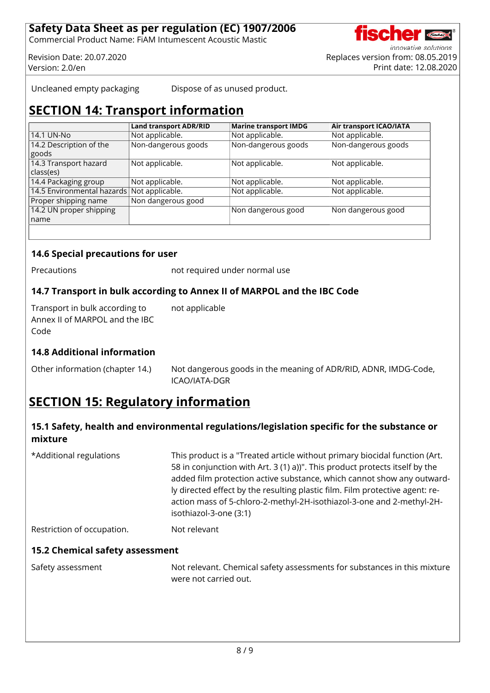Commercial Product Name: FiAM Intumescent Acoustic Mastic

innovative solutions Revision Date: 20.07.2020 Replaces version from: 08.05.2019 Version: 2.0/en Print date: 12.08.2020

Uncleaned empty packaging Dispose of as unused product.

# **SECTION 14: Transport information**

|                                            | <b>Land transport ADR/RID</b> | <b>Marine transport IMDG</b> | Air transport ICAO/IATA |
|--------------------------------------------|-------------------------------|------------------------------|-------------------------|
| 14.1 UN-No                                 | Not applicable.               | Not applicable.              | Not applicable.         |
| 14.2 Description of the                    | Non-dangerous goods           | Non-dangerous goods          | Non-dangerous goods     |
| goods                                      |                               |                              |                         |
| 14.3 Transport hazard                      | Not applicable.               | Not applicable.              | Not applicable.         |
| class(es)                                  |                               |                              |                         |
| 14.4 Packaging group                       | Not applicable.               | Not applicable.              | Not applicable.         |
| 14.5 Environmental hazards Not applicable. |                               | Not applicable.              | Not applicable.         |
| Proper shipping name                       | Non dangerous good            |                              |                         |
| 14.2 UN proper shipping                    |                               | Non dangerous good           | Non dangerous good      |
| name                                       |                               |                              |                         |
|                                            |                               |                              |                         |

## **14.6 Special precautions for user**

Precautions **not required under normal use** 

## **14.7 Transport in bulk according to Annex II of MARPOL and the IBC Code**

Transport in bulk according to Annex II of MARPOL and the IBC Code not applicable

## **14.8 Additional information**

Other information (chapter 14.) Not dangerous goods in the meaning of ADR/RID, ADNR, IMDG-Code, ICAO/IATA-DGR

# **SECTION 15: Regulatory information**

## **15.1 Safety, health and environmental regulations/legislation specific for the substance or mixture**

\*Additional regulations This product is a "Treated article without primary biocidal function (Art. 58 in conjunction with Art. 3 (1) a))". This product protects itself by the added film protection active substance, which cannot show any outwardly directed effect by the resulting plastic film. Film protective agent: reaction mass of 5-chloro-2-methyl-2H-isothiazol-3-one and 2-methyl-2Hisothiazol-3-one (3:1) Restriction of occupation. Not relevant

## **15.2 Chemical safety assessment**

Safety assessment Not relevant. Chemical safety assessments for substances in this mixture were not carried out.